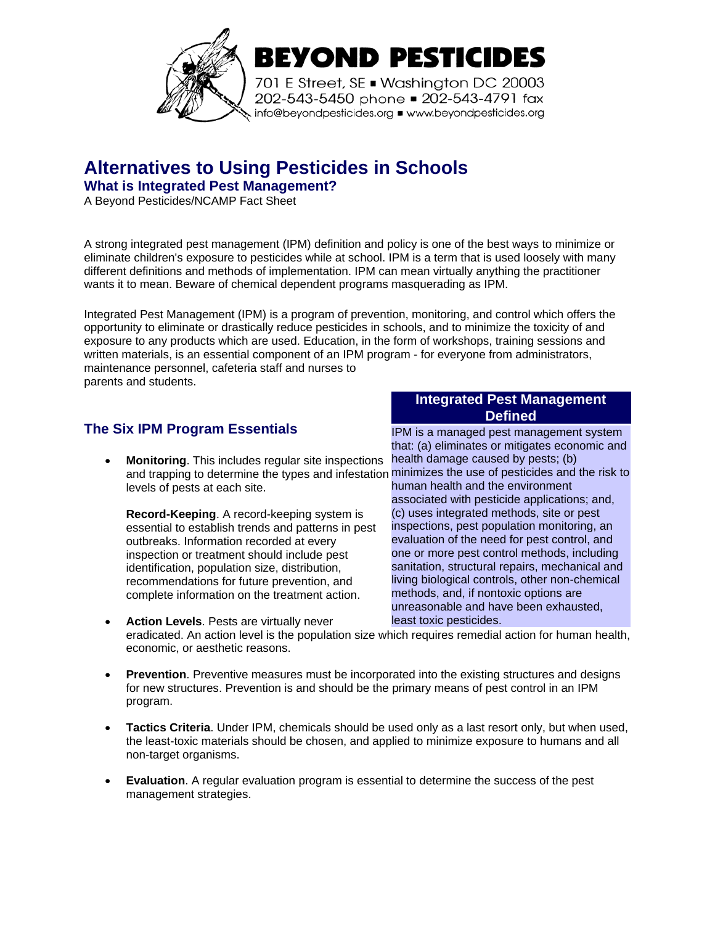

# **Alternatives to Using Pesticides in Schools**

**What is Integrated Pest Management?** 

A Beyond Pesticides/NCAMP Fact Sheet

A strong integrated pest management (IPM) definition and policy is one of the best ways to minimize or eliminate children's exposure to pesticides while at school. IPM is a term that is used loosely with many different definitions and methods of implementation. IPM can mean virtually anything the practitioner wants it to mean. Beware of chemical dependent programs masquerading as IPM.

Integrated Pest Management (IPM) is a program of prevention, monitoring, and control which offers the opportunity to eliminate or drastically reduce pesticides in schools, and to minimize the toxicity of and exposure to any products which are used. Education, in the form of workshops, training sessions and written materials, is an essential component of an IPM program - for everyone from administrators, maintenance personnel, cafeteria staff and nurses to parents and students.

## **The Six IPM Program Essentials**

• **Monitoring**. This includes regular site inspections and trapping to determine the types and infestation minimizes the use of pesticides and the risk to levels of pests at each site.

**Record-Keeping**. A record-keeping system is essential to establish trends and patterns in pest outbreaks. Information recorded at every inspection or treatment should include pest identification, population size, distribution, recommendations for future prevention, and complete information on the treatment action.

#### **Integrated Pest Management Defined**

IPM is a managed pest management system that: (a) eliminates or mitigates economic and health damage caused by pests; (b) human health and the environment associated with pesticide applications; and, (c) uses integrated methods, site or pest inspections, pest population monitoring, an evaluation of the need for pest control, and one or more pest control methods, including sanitation, structural repairs, mechanical and living biological controls, other non-chemical methods, and, if nontoxic options are unreasonable and have been exhausted, least toxic pesticides.

- **Action Levels**. Pests are virtually never eradicated. An action level is the population size which requires remedial action for human health, economic, or aesthetic reasons.
- **Prevention**. Preventive measures must be incorporated into the existing structures and designs for new structures. Prevention is and should be the primary means of pest control in an IPM program.
- **Tactics Criteria**. Under IPM, chemicals should be used only as a last resort only, but when used, the least-toxic materials should be chosen, and applied to minimize exposure to humans and all non-target organisms.
- **Evaluation**. A regular evaluation program is essential to determine the success of the pest management strategies.